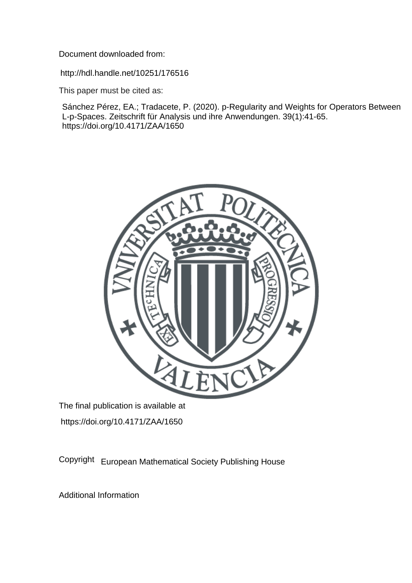Document downloaded from:

http://hdl.handle.net/10251/176516

This paper must be cited as:

Sánchez Pérez, EA.; Tradacete, P. (2020). p-Regularity and Weights for Operators Between L-p-Spaces. Zeitschrift für Analysis und ihre Anwendungen. 39(1):41-65. https://doi.org/10.4171/ZAA/1650



The final publication is available at https://doi.org/10.4171/ZAA/1650

Copyright European Mathematical Society Publishing House

Additional Information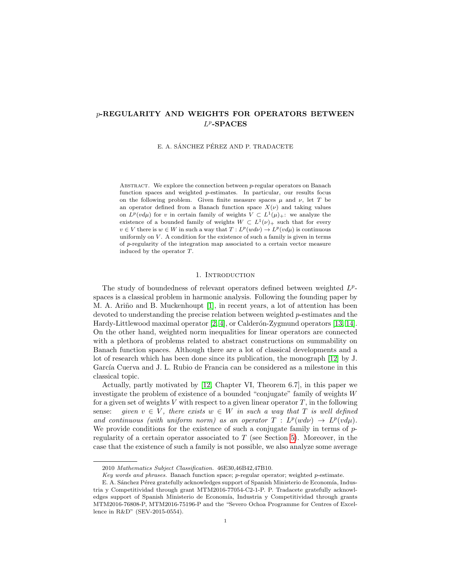# p-REGULARITY AND WEIGHTS FOR OPERATORS BETWEEN  $L^p$ -SPACES

E. A. SÁNCHEZ PÉREZ AND P. TRADACETE

ABSTRACT. We explore the connection between  $p$ -regular operators on Banach function spaces and weighted p-estimates. In particular, our results focus on the following problem. Given finite measure spaces  $\mu$  and  $\nu$ , let T be an operator defined from a Banach function space  $X(\nu)$  and taking values on  $L^p(vd\mu)$  for v in certain family of weights  $V \subset L^1(\mu)_+$ : we analyze the existence of a bounded family of weights  $W \subset L^1(\nu)$  such that for every  $v \in V$  there is  $w \in W$  in such a way that  $T: L^p(w d\nu) \to L^p(v d\mu)$  is continuous uniformly on  $V$ . A condition for the existence of such a family is given in terms of p-regularity of the integration map associated to a certain vector measure induced by the operator T.

### 1. INTRODUCTION

The study of boundedness of relevant operators defined between weighted  $L^p$ spaces is a classical problem in harmonic analysis. Following the founding paper by M. A. Ariño and B. Muckenhoupt [\[1\]](#page-19-0), in recent years, a lot of attention has been devoted to understanding the precise relation between weighted  $p$ -estimates and the Hardy-Littlewood maximal operator  $[2, 4]$  $[2, 4]$ , or Calderón-Zygmund operators  $[13, 14]$  $[13, 14]$ . On the other hand, weighted norm inequalities for linear operators are connected with a plethora of problems related to abstract constructions on summability on Banach function spaces. Although there are a lot of classical developments and a lot of research which has been done since its publication, the monograph [\[12\]](#page-19-5) by J. García Cuerva and J. L. Rubio de Francia can be considered as a milestone in this classical topic.

Actually, partly motivated by [\[12,](#page-19-5) Chapter VI, Theorem 6.7], in this paper we investigate the problem of existence of a bounded "conjugate" family of weights W for a given set of weights  $V$  with respect to a given linear operator  $T$ , in the following sense: given  $v \in V$ , there exists  $w \in W$  in such a way that T is well defined and continuous (with uniform norm) as an operator  $T : L^p(w d\nu) \to L^p(v d\mu)$ . We provide conditions for the existence of such a conjugate family in terms of  $p$ regularity of a certain operator associated to  $T$  (see Section [5\)](#page-11-0). Moreover, in the case that the existence of such a family is not possible, we also analyze some average

<sup>2010</sup> Mathematics Subject Classification. 46E30,46B42,47B10.

Key words and phrases. Banach function space;  $p$ -regular operator; weighted  $p$ -estimate.

E. A. Sánchez Pérez gratefully acknowledges support of Spanish Ministerio de Economía, Industria y Competitividad through grant MTM2016-77054-C2-1-P. P. Tradacete gratefully acknowledges support of Spanish Ministerio de Economía, Industria y Competitividad through grants MTM2016-76808-P, MTM2016-75196-P and the "Severo Ochoa Programme for Centres of Excellence in R&D" (SEV-2015-0554).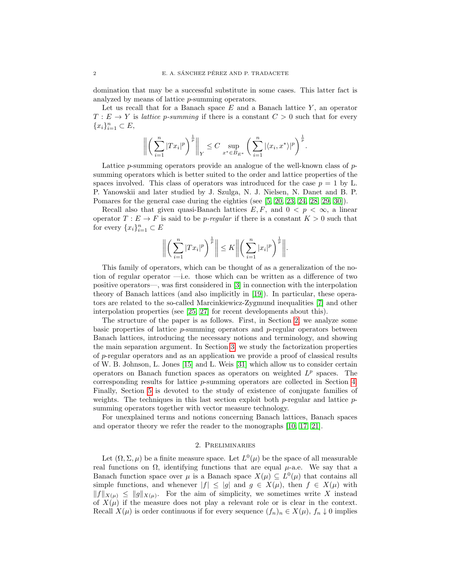domination that may be a successful substitute in some cases. This latter fact is analyzed by means of lattice p-summing operators.

Let us recall that for a Banach space  $E$  and a Banach lattice  $Y$ , an operator  $T: E \to Y$  is *lattice p-summing* if there is a constant  $C > 0$  such that for every  ${x_i}_{i=1}^n \subset E,$ 

$$
\left\| \left( \sum_{i=1}^n |Tx_i|^p \right)^{\frac{1}{p}} \right\|_Y \leq C \sup_{x^* \in B_{E^*}} \left( \sum_{i=1}^n |\langle x_i, x^* \rangle|^p \right)^{\frac{1}{p}}.
$$

Lattice p-summing operators provide an analogue of the well-known class of psumming operators which is better suited to the order and lattice properties of the spaces involved. This class of operators was introduced for the case  $p = 1$  by L. P. Yanowskii and later studied by J. Szulga, N. J. Nielsen, N. Danet and B. P. Pomares for the general case during the eighties (see [\[5,](#page-19-6) [20,](#page-19-7) [23,](#page-19-8) [24,](#page-19-9) [28,](#page-20-0) [29,](#page-20-1) [30\]](#page-20-2)).

Recall also that given quasi-Banach lattices  $E, F$ , and  $0 \lt p \lt \infty$ , a linear operator  $T : E \to F$  is said to be *p-regular* if there is a constant  $K > 0$  such that for every  $\{x_i\}_{i=1}^n \subset E$ 

$$
\left\| \left( \sum_{i=1}^n |Tx_i|^p \right)^{\frac{1}{p}} \right\| \leq K \left\| \left( \sum_{i=1}^n |x_i|^p \right)^{\frac{1}{p}} \right\|.
$$

This family of operators, which can be thought of as a generalization of the notion of regular operator —i.e. those which can be written as a difference of two positive operators—, was first considered in [\[3\]](#page-19-10) in connection with the interpolation theory of Banach lattices (and also implicitly in [\[19\]](#page-19-11)). In particular, these operators are related to the so-called Marcinkiewicz-Zygmund inequalities [\[7\]](#page-19-12) and other interpolation properties (see [\[25,](#page-19-13) [27\]](#page-20-3) for recent developments about this).

The structure of the paper is as follows. First, in Section [2,](#page-2-0) we analyze some basic properties of lattice  $p$ -summing operators and  $p$ -regular operators between Banach lattices, introducing the necessary notions and terminology, and showing the main separation argument. In Section [3,](#page-7-0) we study the factorization properties of p-regular operators and as an application we provide a proof of classical results of W. B. Johnson, L. Jones [\[15\]](#page-19-14) and L. Weis [\[31\]](#page-20-4) which allow us to consider certain operators on Banach function spaces as operators on weighted  $L^p$  spaces. The corresponding results for lattice p-summing operators are collected in Section [4.](#page-9-0) Finally, Section [5](#page-11-0) is devoted to the study of existence of conjugate families of weights. The techniques in this last section exploit both  $p$ -regular and lattice  $p$ summing operators together with vector measure technology.

For unexplained terms and notions concerning Banach lattices, Banach spaces and operator theory we refer the reader to the monographs [\[10,](#page-19-15) [17,](#page-19-16) [21\]](#page-19-17).

### 2. Preliminaries

<span id="page-2-0"></span>Let  $(\Omega, \Sigma, \mu)$  be a finite measure space. Let  $L^0(\mu)$  be the space of all measurable real functions on  $\Omega$ , identifying functions that are equal  $\mu$ -a.e. We say that a Banach function space over  $\mu$  is a Banach space  $X(\mu) \subseteq L^0(\mu)$  that contains all simple functions, and whenever  $|f| \leq |g|$  and  $g \in X(\mu)$ , then  $f \in X(\mu)$  with  $||f||_{X(\mu)} \leq ||g||_{X(\mu)}$ . For the aim of simplicity, we sometimes write X instead of  $X(\mu)$  if the measure does not play a relevant role or is clear in the context. Recall  $X(\mu)$  is order continuous if for every sequence  $(f_n)_n \in X(\mu)$ ,  $f_n \downarrow 0$  implies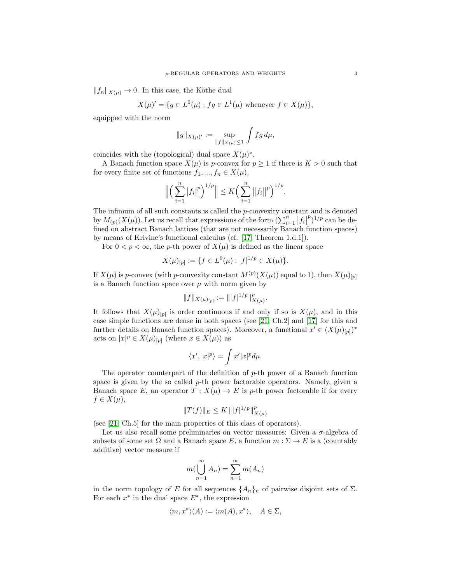$||f_n||_{X(\mu)} \to 0$ . In this case, the Köthe dual

$$
X(\mu)' = \{ g \in L^0(\mu) : fg \in L^1(\mu) \text{ whenever } f \in X(\mu) \},
$$

equipped with the norm

$$
\|g\|_{X(\mu)'} := \sup_{\|f\|_{X(\mu)} \le 1} \int f g \, d\mu,
$$

coincides with the (topological) dual space  $X(\mu)^*$ .

A Banach function space  $X(\mu)$  is p-convex for  $p \geq 1$  if there is  $K > 0$  such that for every finite set of functions  $f_1, ..., f_n \in X(\mu)$ ,

$$
\Big\| \Big( \sum_{i=1}^n |f_i|^p \Big)^{1/p} \Big\| \leq K \Big( \sum_{i=1}^n \big\|f_i\big\|^p \Big)^{1/p}.
$$

The infimum of all such constants is called the p-convexity constant and is denoted by  $M_{(p)}(X(\mu))$ . Let us recall that expressions of the form  $\left(\sum_{i=1}^n |f_i|\right)$  $(p^p)^{1/p}$  can be defined on abstract Banach lattices (that are not necessarily Banach function spaces) by means of Krivine's functional calculus (cf. [\[17,](#page-19-16) Theorem 1.d.1]).

For  $0 < p < \infty$ , the p-th power of  $X(\mu)$  is defined as the linear space

$$
X(\mu)_{[p]} := \{ f \in L^0(\mu) : |f|^{1/p} \in X(\mu) \}.
$$

If  $X(\mu)$  is p-convex (with p-convexity constant  $M^{(p)}(X(\mu))$  equal to 1), then  $X(\mu)_{[p]}$ is a Banach function space over  $\mu$  with norm given by

$$
||f||_{X(\mu)_{[p]}} := |||f|^{1/p}||_{X(\mu)}^p.
$$

It follows that  $X(\mu)_{[p]}$  is order continuous if and only if so is  $X(\mu)$ , and in this case simple functions are dense in both spaces (see [\[21,](#page-19-17) Ch.2] and [\[17\]](#page-19-16) for this and further details on Banach function spaces). Moreover, a functional  $x' \in (X(\mu)_{[p]})^*$ acts on  $|x|^p \in X(\mu)_{[p]}$  (where  $x \in X(\mu)$ ) as

$$
\langle x', |x|^p \rangle = \int x' |x|^p d\mu.
$$

The operator counterpart of the definition of  $p$ -th power of a Banach function space is given by the so called  $p$ -th power factorable operators. Namely, given a Banach space E, an operator  $T : X(\mu) \to E$  is p-th power factorable if for every  $f \in X(\mu),$ 

$$
||T(f)||_E \le K ||f|^{1/p}||_{X(\mu)}^p
$$

(see [\[21,](#page-19-17) Ch.5] for the main properties of this class of operators).

Let us also recall some preliminaries on vector measures: Given a  $\sigma$ -algebra of subsets of some set  $\Omega$  and a Banach space E, a function  $m : \Sigma \to E$  is a (countably additive) vector measure if

$$
m(\bigcup_{n=1}^{\infty} A_n) = \sum_{n=1}^{\infty} m(A_n)
$$

in the norm topology of E for all sequences  $\{A_n\}_n$  of pairwise disjoint sets of  $\Sigma$ . For each  $x^*$  in the dual space  $E^*$ , the expression

$$
\langle m, x^* \rangle (A) := \langle m(A), x^* \rangle, \quad A \in \Sigma,
$$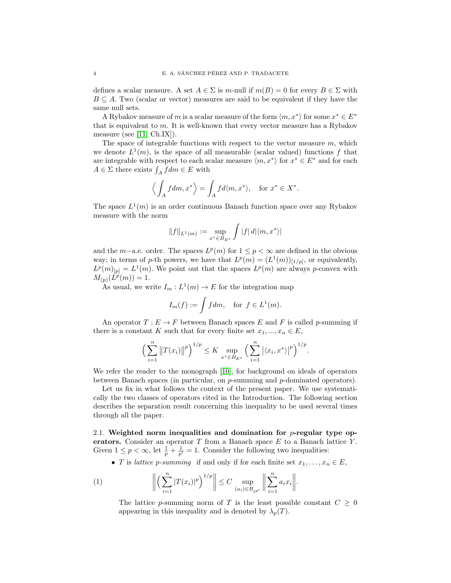defines a scalar measure. A set  $A \in \Sigma$  is m-null if  $m(B) = 0$  for every  $B \in \Sigma$  with  $B \subseteq A$ . Two (scalar or vector) measures are said to be equivalent if they have the same null sets.

A Rybakov measure of m is a scalar measure of the form  $\langle m, x^* \rangle$  for some  $x^* \in E^*$ that is equivalent to m. It is well-known that every vector measure has a Rybakov measure (see [\[11,](#page-19-18) Ch.IX]).

The space of integrable functions with respect to the vector measure  $m$ , which we denote  $L^1(m)$ , is the space of all measurable (scalar valued) functions f that are integrable with respect to each scalar measure  $\langle m, x^* \rangle$  for  $x^* \in E^*$  and for each  $A \in \Sigma$  there exists  $\int_A f dm \in E$  with

$$
\left\langle \int_A f dm, x^* \right\rangle = \int_A f d\langle m, x^* \rangle
$$
, for  $x^* \in X^*$ .

The space  $L^1(m)$  is an order continuous Banach function space over any Rybakov measure with the norm

$$
||f||_{L^1(m)} := \sup_{x^* \in B_{E^*}} \int |f| d |\langle m, x^* \rangle|
$$

and the m–a.e. order. The spaces  $L^p(m)$  for  $1 \leq p < \infty$  are defined in the obvious way; in terms of p-th powers, we have that  $L^p(m) = (L^1(m))_{[1/p]}$ , or equivalently,  $L^p(m)_{[p]} = L^1(m)$ . We point out that the spaces  $L^p(m)$  are always p-convex with  $M_{(p)}(\tilde{L}^p(m)) = 1.$ 

As usual, we write  $I_m: L^1(m) \to E$  for the integration map

$$
I_m(f) := \int f dm, \text{ for } f \in L^1(m).
$$

An operator  $T: E \to F$  between Banach spaces E and F is called p-summing if there is a constant K such that for every finite set  $x_1, ..., x_n \in E$ ,

$$
\left(\sum_{i=1}^n \|T(x_i)\|^p\right)^{1/p} \le K \sup_{x^* \in B_{E^*}} \left(\sum_{i=1}^n |\langle x_i, x^* \rangle|^p\right)^{1/p}.
$$

We refer the reader to the monograph [\[10\]](#page-19-15), for background on ideals of operators between Banach spaces (in particular, on p-summing and p-dominated operators).

Let us fix in what follows the context of the present paper. We use systematically the two classes of operators cited in the Introduction. The following section describes the separation result concerning this inequality to be used several times through all the paper.

2.1. Weighted norm inequalities and domination for  $p$ -regular type operators. Consider an operator  $T$  from a Banach space  $E$  to a Banach lattice  $Y$ . Given  $1 \leq p < \infty$ , let  $\frac{1}{p} + \frac{1}{p'} = 1$ . Consider the following two inequalities:

• T is lattice p-summing if and only if for each finite set  $x_1, \ldots, x_n \in E$ ,

(1) 
$$
\left\| \left( \sum_{i=1}^n |T(x_i)|^p \right)^{1/p} \right\| \leq C \sup_{(a_i) \in B_{\ell p'}} \left\| \sum_{i=1}^n a_i x_i \right\|.
$$

<span id="page-4-0"></span>The lattice p-summing norm of T is the least possible constant  $C \geq 0$ appearing in this inequality and is denoted by  $\lambda_n(T)$ .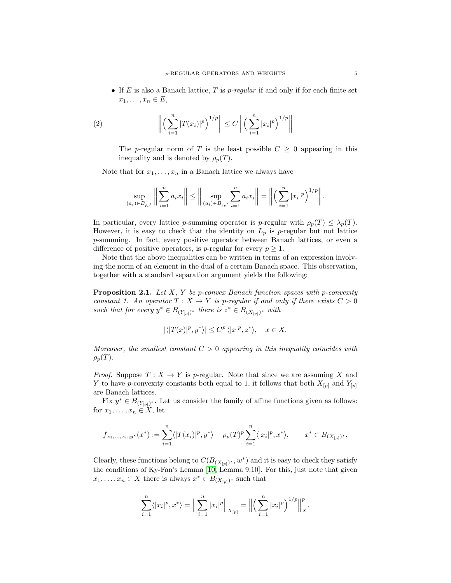• If E is also a Banach lattice, T is  $p$ -regular if and only if for each finite set  $x_1, \ldots, x_n \in E$ ,

(2) 
$$
\left\| \left( \sum_{i=1}^{n} |T(x_i)|^p \right)^{1/p} \right\| \leq C \left\| \left( \sum_{i=1}^{n} |x_i|^p \right)^{1/p} \right\|
$$

The p-regular norm of T is the least possible  $C \geq 0$  appearing in this inequality and is denoted by  $\rho_p(T)$ .

Note that for  $x_1, \ldots, x_n$  in a Banach lattice we always have

$$
\sup_{(a_i)\in B_{\ell^{p'}}}\bigg\|\sum_{i=1}^n a_ix_i\bigg\|\le \bigg\|\sup_{(a_i)\in B_{\ell^{p'}}}\sum_{i=1}^n a_ix_i\bigg\|=\bigg\|\Big(\sum_{i=1}^n |x_i|^p\Big)^{1/p}\bigg\|.
$$

In particular, every lattice p-summing operator is p-regular with  $\rho_p(T) \leq \lambda_p(T)$ . However, it is easy to check that the identity on  $L_p$  is p-regular but not lattice p-summing. In fact, every positive operator between Banach lattices, or even a difference of positive operators, is *p*-regular for every  $p \geq 1$ .

Note that the above inequalities can be written in terms of an expression involving the norm of an element in the dual of a certain Banach space. This observation, together with a standard separation argument yields the following:

<span id="page-5-0"></span>**Proposition 2.1.** Let  $X$ ,  $Y$  be p-convex Banach function spaces with p-convexity constant 1. An operator  $T : X \to Y$  is p-regular if and only if there exists  $C > 0$ such that for every  $y^* \in B_{(Y_{[p]})^*}$  there is  $z^* \in B_{(X_{[p]})^*}$  with

$$
|\langle |T(x)|^p, y^* \rangle| \le C^p \langle |x|^p, z^* \rangle, \quad x \in X.
$$

Moreover, the smallest constant  $C > 0$  appearing in this inequality coincides with  $\rho_p(T)$ .

*Proof.* Suppose  $T: X \to Y$  is p-regular. Note that since we are assuming X and Y to have p-convexity constants both equal to 1, it follows that both  $X_{[p]}$  and  $Y_{[p]}$ are Banach lattices.

Fix  $y^* \in B_{(Y_{[p]})^*}$ . Let us consider the family of affine functions given as follows: for  $x_1, \ldots, x_n \in X$ , let

$$
f_{x_1,\ldots,x_n;y^*}(x^*) := \sum_{i=1}^n \langle |T(x_i)|^p, y^* \rangle - \rho_p(T)^p \sum_{i=1}^n \langle |x_i|^p, x^* \rangle, \qquad x^* \in B_{(X_{[p]})^*}.
$$

Clearly, these functions belong to  $C(B_{(X_{[p]})^*}, w^*)$  and it is easy to check they satisfy the conditions of Ky-Fan's Lemma [\[10,](#page-19-15) Lemma 9.10]. For this, just note that given  $x_1, \ldots, x_n \in X$  there is always  $x^* \in B_{(X_{[p]})^*}$  such that

$$
\sum_{i=1}^n \langle |x_i|^p, x^* \rangle = \Big\| \sum_{i=1}^n |x_i|^p \Big\|_{X_{[p]}} = \Big\| \Big( \sum_{i=1}^n |x_i|^p \Big)^{1/p} \Big\|_X^p.
$$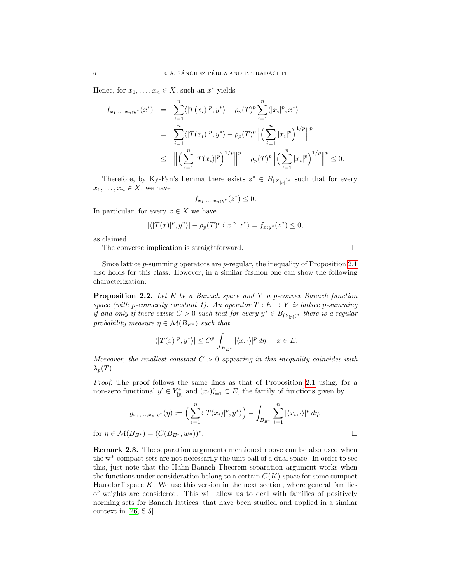Hence, for  $x_1, \ldots, x_n \in X$ , such an  $x^*$  yields

$$
f_{x_1,...,x_n;y^*}(x^*) = \sum_{i=1}^n \langle |T(x_i)|^p, y^* \rangle - \rho_p(T)^p \sum_{i=1}^n \langle |x_i|^p, x^* \rangle
$$
  

$$
= \sum_{i=1}^n \langle |T(x_i)|^p, y^* \rangle - \rho_p(T)^p \Big\| \Big(\sum_{i=1}^n |x_i|^p\Big)^{1/p} \Big\|^p
$$
  

$$
\leq \Big\| \Big(\sum_{i=1}^n |T(x_i)|^p\Big)^{1/p} \Big\|^p - \rho_p(T)^p \Big\| \Big(\sum_{i=1}^n |x_i|^p\Big)^{1/p} \Big\|^p \leq 0.
$$

Therefore, by Ky-Fan's Lemma there exists  $z^* \in B_{(X_{[p]})^*}$  such that for every  $x_1, \ldots, x_n \in X$ , we have

$$
f_{x_1,\ldots,x_n;y^*}(z^*) \le 0.
$$

In particular, for every  $x \in X$  we have

$$
|\langle |T(x)|^p, y^* \rangle| - \rho_p(T)^p \langle |x|^p, z^* \rangle = f_{x; y^*}(z^*) \le 0,
$$

as claimed.

The converse implication is straightforward.

Since lattice  $p$ -summing operators are  $p$ -regular, the inequality of Proposition [2.1](#page-5-0) also holds for this class. However, in a similar fashion one can show the following characterization:

<span id="page-6-0"></span>**Proposition 2.2.** Let E be a Banach space and Y a p-convex Banach function space (with p-convexity constant 1). An operator  $T : E \to Y$  is lattice p-summing if and only if there exists  $C > 0$  such that for every  $y^* \in B_{(Y_{[p]})^*}$  there is a regular probability measure  $\eta \in \mathcal{M}(B_{E^*})$  such that

$$
|\langle |T(x)|^p, y^* \rangle| \le C^p \int_{B_{E^*}} |\langle x, \cdot \rangle|^p d\eta, \quad x \in E.
$$

Moreover, the smallest constant  $C > 0$  appearing in this inequality coincides with  $\lambda_p(T)$ .

Proof. The proof follows the same lines as that of Proposition [2.1](#page-5-0) using, for a non-zero functional  $y' \in Y_{[p]}^*$  and  $(x_i)_{i=1}^n \subset E$ , the family of functions given by

$$
g_{x_1,...,x_n;y^*}(\eta) := \left(\sum_{i=1}^n \langle |T(x_i)|^p, y^* \rangle \right) - \int_{B_{E^*}} \sum_{i=1}^n |\langle x_i, \cdot \rangle|^p d\eta,
$$
  

$$
\mathcal{M}(B_{E^*}) = (C(B_{E^*}, w^*))^*.
$$

for  $\eta\in\mathcal{M}(B_{E^*})=(C(B_{E^*},w*))$ 

Remark 2.3. The separation arguments mentioned above can be also used when the w\*-compact sets are not necessarily the unit ball of a dual space. In order to see this, just note that the Hahn-Banach Theorem separation argument works when the functions under consideration belong to a certain  $C(K)$ -space for some compact Hausdorff space  $K$ . We use this version in the next section, where general families of weights are considered. This will allow us to deal with families of positively norming sets for Banach lattices, that have been studied and applied in a similar context in [\[26,](#page-19-19) S.5].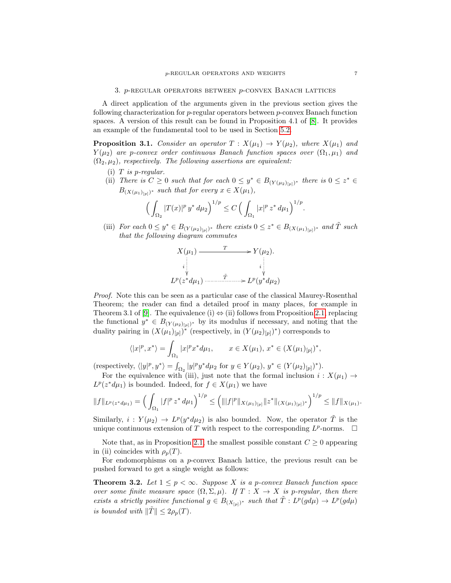<span id="page-7-0"></span>A direct application of the arguments given in the previous section gives the following characterization for p-regular operators between p-convex Banach function spaces. A version of this result can be found in Proposition 4.1 of [\[8\]](#page-19-20). It provides an example of the fundamental tool to be used in Section [5.2.](#page-13-0)

<span id="page-7-1"></span>**Proposition 3.1.** Consider an operator  $T : X(\mu_1) \to Y(\mu_2)$ , where  $X(\mu_1)$  and  $Y(\mu_2)$  are p-convex order continuous Banach function spaces over  $(\Omega_1, \mu_1)$  and  $(\Omega_2, \mu_2)$ , respectively. The following assertions are equivalent:

- (i)  $T$  is p-regular.
- (ii) There is  $C \geq 0$  such that for each  $0 \leq y^* \in B_{(Y(\mu_2)_{[p]})^*}$  there is  $0 \leq z^* \in$  $B_{(X(\mu_1)_{[p]})^*}$  such that for every  $x \in X(\mu_1)$ ,

$$
\Big(\int_{\Omega_2} |T(x)|^p y^* d\mu_2\Big)^{1/p} \le C \Big(\int_{\Omega_1} |x|^p z^* d\mu_1\Big)^{1/p}.
$$

(iii) For each  $0 \leq y^* \in B_{(Y(\mu_2)_{[p]})^*}$  there exists  $0 \leq z^* \in B_{(X(\mu_1)_{[p]})^*}$  and  $\tilde{T}$  such that the following diagram commutes

$$
X(\mu_1) \xrightarrow{T} Y(\mu_2).
$$
\n
$$
i \downarrow \qquad i \downarrow \qquad i \downarrow \qquad i \downarrow \qquad i \downarrow \qquad i \downarrow \qquad i \downarrow \qquad i \downarrow \qquad i \downarrow \qquad i \downarrow \qquad i \downarrow \qquad i \downarrow \qquad i \downarrow \qquad i \downarrow \qquad i \downarrow \qquad i \downarrow \qquad i \downarrow \qquad i \downarrow \qquad i \downarrow \qquad i \downarrow \qquad i \downarrow \qquad i \downarrow \qquad i \downarrow \qquad i \downarrow \qquad i \downarrow \qquad i \downarrow \qquad i \downarrow \qquad i \downarrow \qquad i \downarrow \qquad i \downarrow \qquad i \downarrow \qquad i \downarrow \qquad i \downarrow \qquad i \downarrow \qquad i \downarrow \qquad i \downarrow \qquad i \downarrow \qquad i \downarrow \qquad i \downarrow \qquad i \downarrow \qquad i \downarrow \qquad i \downarrow \qquad i \downarrow \qquad i \downarrow \qquad i \downarrow \qquad i \downarrow \qquad i \downarrow \qquad i \downarrow \qquad i \downarrow \qquad i \downarrow \qquad i \downarrow \qquad i \downarrow \qquad i \downarrow \qquad i \downarrow \qquad i \downarrow \qquad i \downarrow \qquad i \downarrow \qquad i \downarrow \qquad i \downarrow \qquad i \downarrow \qquad i \downarrow \qquad i \downarrow \qquad i \downarrow \qquad i \downarrow \qquad i \downarrow \qquad i \downarrow \qquad i \downarrow \qquad i \downarrow \qquad i \downarrow \qquad i \downarrow \qquad i \downarrow \qquad i \downarrow \qquad i \downarrow \qquad i \downarrow \qquad i \downarrow \qquad i \downarrow \qquad i \downarrow \qquad i \downarrow \qquad i \downarrow \qquad i \downarrow \qquad i \downarrow \qquad i \downarrow \qquad i \downarrow \qquad i \downarrow \qquad i \downarrow \qquad i \downarrow \qquad i \downarrow \qquad i \downarrow \qquad i \downarrow \qquad i \downarrow \qquad i \downarrow \qquad i \downarrow \qquad i \downarrow \qquad i \downarrow \qquad i \downarrow \qquad i \downarrow \qquad i \downarrow \qquad i \downarrow \qquad i \downarrow \qquad i \downarrow \qquad i \downarrow \qquad i \downarrow \qquad i \downarrow \qquad i \downarrow \qquad i \downarrow \
$$

Proof. Note this can be seen as a particular case of the classical Maurey-Rosenthal Theorem; the reader can find a detailed proof in many places, for example in Theorem 3.1 of [\[9\]](#page-19-21). The equivalence (i)  $\Leftrightarrow$  (ii) follows from Proposition [2.1,](#page-5-0) replacing the functional  $y^* \in B_{(Y(\mu_2)_{[p]})^*}$  by its modulus if necessary, and noting that the duality pairing in  $(X(\mu_1)_{[p]})^*$  (respectively, in  $(Y(\mu_2)_{[p]})^*$ ) corresponds to

$$
\langle |x|^p, x^* \rangle = \int_{\Omega_1} |x|^p x^* d\mu_1, \qquad x \in X(\mu_1), x^* \in (X(\mu_1)_{[p]})^*,
$$

(respectively,  $\langle |y|^p, y^* \rangle = \int_{\Omega_2} |y|^p y^* d\mu_2$  for  $y \in Y(\mu_2), y^* \in (Y(\mu_2)_{[p]})^*$ ).

For the equivalence with (iii), just note that the formal inclusion  $i: X(\mu_1) \to$  $L^p(z^*d\mu_1)$  is bounded. Indeed, for  $f \in X(\mu_1)$  we have

$$
||f||_{L^p(z^*d\mu_1)} = \left(\int_{\Omega_1} |f|^p z^* d\mu_1\right)^{1/p} \leq \left(||f|^p ||_{X(\mu_1)_{[p]}} ||z^* ||_{(X(\mu_1)_{[p]})^*}\right)^{1/p} \leq ||f||_{X(\mu_1)}.
$$

Similarly,  $i: Y(\mu_2) \to L^p(y^*d\mu_2)$  is also bounded. Now, the operator  $\tilde{T}$  is the unique continuous extension of T with respect to the corresponding  $L^p$ -norms.  $\Box$ 

Note that, as in Proposition [2.1,](#page-5-0) the smallest possible constant  $C \geq 0$  appearing in (ii) coincides with  $\rho_p(T)$ .

For endomorphisms on a  $p$ -convex Banach lattice, the previous result can be pushed forward to get a single weight as follows:

<span id="page-7-2"></span>**Theorem 3.2.** Let  $1 \leq p < \infty$ . Suppose X is a p-convex Banach function space over some finite measure space  $(\Omega, \Sigma, \mu)$ . If  $T : X \to X$  is p-regular, then there exists a strictly positive functional  $g \in B_{(X_{[p]})^*}$  such that  $\tilde{T} : L^p(g d\mu) \to L^p(g d\mu)$ is bounded with  $\|\tilde{T}\| \leq 2\rho_p(T)$ .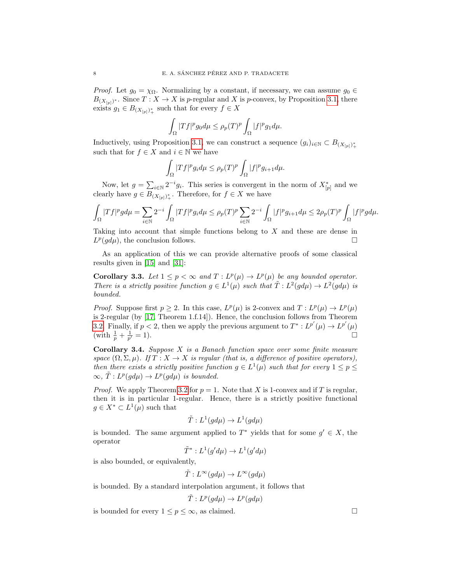*Proof.* Let  $g_0 = \chi_{\Omega}$ . Normalizing by a constant, if necessary, we can assume  $g_0 \in$  $B_{(X_{[p]})^*}$ . Since  $T: X \to X$  is p-regular and X is p-convex, by Proposition [3.1,](#page-7-1) there exists  $g_1 \in B_{(X_{[p]})^*_{+}}$  such that for every  $f \in X$ 

$$
\int_{\Omega} |Tf|^p g_0 d\mu \leq \rho_p(T)^p \int_{\Omega} |f|^p g_1 d\mu.
$$

Inductively, using Proposition [3.1,](#page-7-1) we can construct a sequence  $(g_i)_{i\in\mathbb{N}}\subset B_{(X_{[p]})^*_{+}}$ such that for  $f \in X$  and  $i \in \mathbb{N}$  we have

$$
\int_{\Omega} |Tf|^p g_i d\mu \leq \rho_p(T)^p \int_{\Omega} |f|^p g_{i+1} d\mu.
$$

Now, let  $g = \sum_{i \in \mathbb{N}} 2^{-i} g_i$ . This series is convergent in the norm of  $X^*_{[p]}$  and we clearly have  $g \in B_{(X_{[p]})^*_{+}}$ . Therefore, for  $f \in X$  we have

$$
\int_{\Omega} |Tf|^p g d\mu = \sum_{i \in \mathbb{N}} 2^{-i} \int_{\Omega} |Tf|^p g_i d\mu \le \rho_p(T)^p \sum_{i \in \mathbb{N}} 2^{-i} \int_{\Omega} |f|^p g_{i+1} d\mu \le 2\rho_p(T)^p \int_{\Omega} |f|^p g d\mu.
$$

Taking into account that simple functions belong to X and these are dense in  $L^p(gd\mu)$ , the conclusion follows.

As an application of this we can provide alternative proofs of some classical results given in [\[15\]](#page-19-14) and [\[31\]](#page-20-4):

**Corollary 3.3.** Let  $1 \leq p < \infty$  and  $T : L^p(\mu) \to L^p(\mu)$  be any bounded operator. There is a strictly positive function  $g \in L^1(\mu)$  such that  $\tilde{T}: L^2(gd\mu) \to L^2(gd\mu)$  is bounded.

*Proof.* Suppose first  $p \ge 2$ . In this case,  $L^p(\mu)$  is 2-convex and  $T: L^p(\mu) \to L^p(\mu)$ is 2-regular (by [\[17,](#page-19-16) Theorem 1.f.14]). Hence, the conclusion follows from Theorem [3.2.](#page-7-2) Finally, if  $p < 2$ , then we apply the previous argument to  $T^* : L^{p'}(\mu) \to L^{p'}(\mu)$ (with  $\frac{1}{p} + \frac{1}{p'}$  $\frac{1}{p'} = 1$ .

**Corollary 3.4.** Suppose  $X$  is a Banach function space over some finite measure space  $(\Omega, \Sigma, \mu)$ . If  $T : X \to X$  is regular (that is, a difference of positive operators), then there exists a strictly positive function  $g \in L^1(\mu)$  such that for every  $1 \leq p \leq$  $\infty, \tilde{T}: L^p(gd\mu) \to L^p(gd\mu)$  is bounded.

*Proof.* We apply Theorem [3.2](#page-7-2) for  $p = 1$ . Note that X is 1-convex and if T is regular, then it is in particular 1-regular. Hence, there is a strictly positive functional  $g \in X^* \subset L^1(\mu)$  such that

$$
\tilde{T}: L^1(g d\mu) \to L^1(g d\mu)
$$

is bounded. The same argument applied to  $T^*$  yields that for some  $g' \in X$ , the operator

$$
\tilde{T}^*: L^1(g'd\mu) \to L^1(g'd\mu)
$$

is also bounded, or equivalently,

$$
\tilde{T}: L^{\infty}(gd\mu) \to L^{\infty}(gd\mu)
$$

is bounded. By a standard interpolation argument, it follows that

$$
\tilde{T}: L^p(gd\mu) \to L^p(gd\mu)
$$

is bounded for every  $1 \leq p \leq \infty$ , as claimed.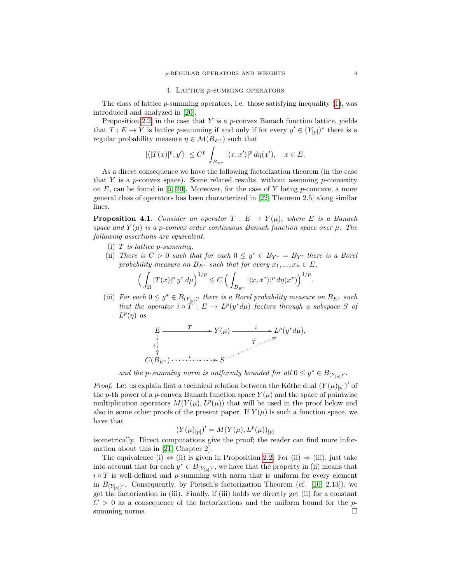#### 4. Lattice p-summing operators

<span id="page-9-0"></span>The class of lattice  $p$ -summing operators, i.e. those satisfying inequality  $(1)$ , was introduced and analyzed in [\[20\]](#page-19-7).

Proposition [2.2,](#page-6-0) in the case that  $Y$  is a  $p$ -convex Banach function lattice, yields that  $T: E \to Y$  is lattice p-summing if and only if for every  $y' \in (Y_{[p]})^*$  there is a regular probability measure  $\eta \in \mathcal{M}(B_{E^*})$  such that

$$
|\langle |T(x)|^p, y' \rangle| \le C^p \int_{B_{E^*}} |\langle x, x' \rangle|^p d\eta(x'), \quad x \in E.
$$

As a direct consequence we have the following factorization theorem (in the case that Y is a p-convex space). Some related results, without assuming p-convexity on E, can be found in [\[5,](#page-19-6) [20\]](#page-19-7). Moreover, for the case of Y being  $p$ -concave, a more general class of operators has been characterized in [\[22,](#page-19-22) Theorem 2.5] along similar lines.

<span id="page-9-1"></span>**Proposition 4.1.** Consider an operator  $T : E \to Y(\mu)$ , where E is a Banach space and  $Y(\mu)$  is a p-convex order continuous Banach function space over  $\mu$ . The following assertions are equivalent.

- (i)  $T$  is lattice p-summing.
- (ii) There is  $C > 0$  such that for each  $0 \leq y^* \in B_{Y^*} = B_{Y'}$  there is a Borel probability measure on  $B_{E^*}$  such that for every  $x_1, ..., x_n \in E$ ,

$$
\Big(\int_{\Omega}|T(x)|^p\,y^*\,d\mu\Big)^{1/p}\leq C\,\Big(\int_{B_{E^*}}|\langle x,x^*\rangle|^p\,d\eta(x^*)\Big)^{1/p}.
$$

(iii) For each  $0 \leq y^* \in B_{(Y_{[p]})'}$  there is a Borel probability measure on  $B_{E^*}$  such that the operator  $i \circ \tilde{T}: E \to L^p(y^*d\mu)$  factors through a subspace S of  $L^p(\eta)$  as

$$
E \xrightarrow{\qquad T} Y(\mu) \xrightarrow{\qquad i} L^{p}(y^{*} d\mu),
$$
  
\n
$$
\overbrace{\qquad \qquad }^{i} C(B_{E^{*}}) \xrightarrow{\qquad i} S
$$

and the p-summing norm is uniformly bounded for all  $0 \leq y^* \in B_{(Y_{[p]})'}$ .

*Proof.* Let us explain first a technical relation between the Köthe dual  $(Y(\mu)_{[p]})'$  of the p-th power of a p-convex Banach function space  $Y(\mu)$  and the space of pointwise multiplication operators  $M(Y(\mu), L^p(\mu))$  that will be used in the proof below and also in some other proofs of the present paper. If  $Y(\mu)$  is such a function space, we have that

$$
(Y(\mu)_{[p]})' = M(Y(\mu), L^p(\mu))_{[p]}
$$

isometrically. Direct computations give the proof; the reader can find more information about this in [\[21,](#page-19-17) Chapter 2].

The equivalence (i)  $\Leftrightarrow$  (ii) is given in Proposition [2.2.](#page-6-0) For (ii)  $\Rightarrow$  (iii), just take into account that for each  $y^* \in B_{(Y_{[p]})'}$ , we have that the property in (ii) means that  $i \circ T$  is well-defined and p-summing with norm that is uniform for every element in  $B_{(Y_{[p]})'}$ . Consequently, by Pietsch's factorization Theorem (cf. [\[10,](#page-19-15) 2.13]), we get the factorization in (iii). Finally, if (iii) holds we directly get (ii) for a constant  $C > 0$  as a consequence of the factorizations and the uniform bound for the  $p$ summing norms.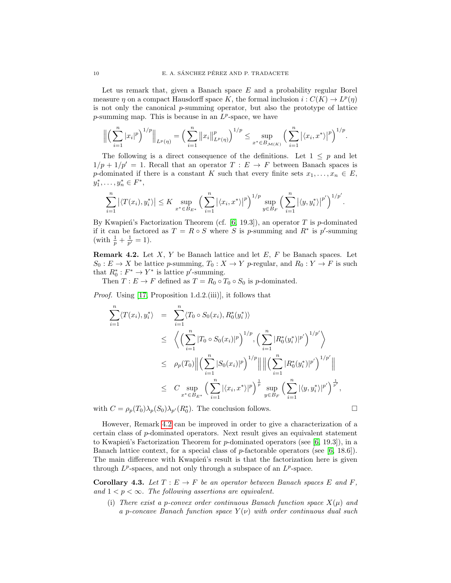Let us remark that, given a Banach space  $E$  and a probability regular Borel measure  $\eta$  on a compact Hausdorff space K, the formal inclusion  $i: C(K) \to L^p(\eta)$ is not only the canonical  $p$ -summing operator, but also the prototype of lattice p-summing map. This is because in an  $L^p$ -space, we have

$$
\Big\| \Big( \sum_{i=1}^n |x_i|^p \Big)^{1/p} \Big\|_{L^p(\eta)} = \Big( \sum_{i=1}^n \big\| x_i \big\|_{L^p(\eta)}^p \Big)^{1/p} \le \sup_{x^* \in B_{\mathcal{M}(K)}} \Big( \sum_{i=1}^n \big| \langle x_i, x^* \rangle \big|^p \Big)^{1/p}.
$$

The following is a direct consequence of the definitions. Let  $1 \leq p$  and let  $1/p + 1/p' = 1$ . Recall that an operator  $T : E \to F$  between Banach spaces is p-dominated if there is a constant K such that every finite sets  $x_1, \ldots, x_n \in E$ ,  $y_1^*, \ldots, y_n^* \in F^*,$ 

$$
\sum_{i=1}^n \left| \langle T(x_i), y_i^* \rangle \right| \leq K \sup_{x^* \in B_{E^*}} \left( \sum_{i=1}^n \left| \langle x_i, x^* \rangle \right|^p \right)^{1/p} \sup_{y \in B_F} \left( \sum_{i=1}^n \left| \langle y, y_i^* \rangle \right|^{p'} \right)^{1/p'}.
$$

By Kwapień's Factorization Theorem (cf.  $[6, 19.3]$  $[6, 19.3]$ ), an operator T is p-dominated if it can be factored as  $T = R \circ S$  where S is p-summing and  $R^*$  is p'-summing (with  $\frac{1}{p} + \frac{1}{p'} = 1$ ).

<span id="page-10-0"></span>**Remark 4.2.** Let  $X$ ,  $Y$  be Banach lattice and let  $E$ ,  $F$  be Banach spaces. Let  $S_0: E \to X$  be lattice p-summing,  $T_0: X \to Y$  p-regular, and  $R_0: Y \to F$  is such that  $R_0^*: F^* \to Y^*$  is lattice p'-summing.

Then  $T : E \to F$  defined as  $T = R_0 \circ T_0 \circ S_0$  is p-dominated.

Proof. Using [\[17,](#page-19-16) Proposition 1.d.2.(iii)], it follows that

$$
\sum_{i=1}^{n} \langle T(x_i), y_i^* \rangle = \sum_{i=1}^{n} \langle T_0 \circ S_0(x_i), R_0^*(y_i^*) \rangle
$$
\n
$$
\leq \left\langle \left( \sum_{i=1}^{n} |T_0 \circ S_0(x_i)|^p \right)^{1/p}, \left( \sum_{i=1}^{n} |R_0^*(y_i^*)|^{p'} \right)^{1/p'} \right\rangle
$$
\n
$$
\leq \rho_p(T_0) \left\| \left( \sum_{i=1}^{n} |S_0(x_i)|^p \right)^{1/p} \right\| \left\| \left( \sum_{i=1}^{n} |R_0^*(y_i^*)|^{p'} \right)^{1/p'} \right\|
$$
\n
$$
\leq C \sup_{x^* \in B_{E^*}} \left( \sum_{i=1}^{n} |\langle x_i, x^* \rangle|^p \right)^{\frac{1}{p}} \sup_{y \in B_F} \left( \sum_{i=1}^{n} |\langle y, y_i^* \rangle|^{p'} \right)^{\frac{1}{p'}},
$$

with  $C = \rho_p(T_0) \lambda_p(S_0) \lambda_{p'}(R_0^*)$ . The conclusion follows.

However, Remark [4.2](#page-10-0) can be improved in order to give a characterization of a certain class of p-dominated operators. Next result gives an equivalent statement to Kwapień's Factorization Theorem for  $p$ -dominated operators (see [\[6,](#page-19-23) 19.3]), in a Banach lattice context, for a special class of  $p$ -factorable operators (see [\[6,](#page-19-23) 18.6]). The main difference with Kwapien's result is that the factorization here is given through  $L^p$ -spaces, and not only through a subspace of an  $L^p$ -space.

**Corollary 4.3.** Let  $T : E \to F$  be an operator between Banach spaces E and F, and  $1 < p < \infty$ . The following assertions are equivalent.

(i) There exist a p-convex order continuous Banach function space  $X(\mu)$  and a p-concave Banach function space  $Y(\nu)$  with order continuous dual such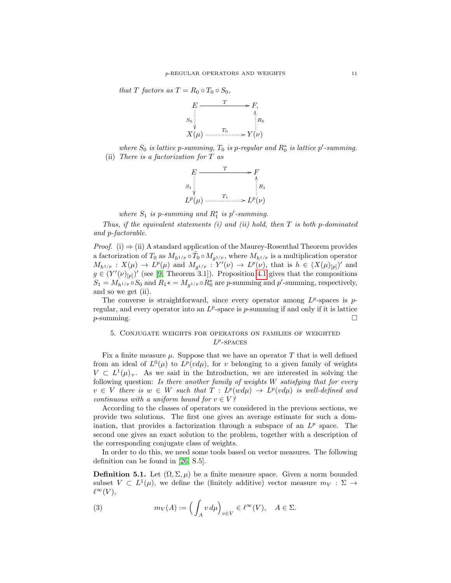that T factors as  $T = R_0 \circ T_0 \circ S_0$ ,



where  $S_0$  is lattice p-summing,  $T_0$  is p-regular and  $R_0^*$  is lattice p'-summing. (ii) There is a factorization for  $T$  as



where  $S_1$  is p-summing and  $R_1^*$  is p'-summing.

Thus, if the equivalent statements  $(i)$  and  $(ii)$  hold, then  $T$  is both p-dominated and p-factorable.

*Proof.* (i)  $\Rightarrow$  (ii) A standard application of the Maurey-Rosenthal Theorem provides a factorization of  $T_0$  as  $M_{h^{1/p}} \circ \hat{T}_0 \circ M_{g^{1/p}}$ , where  $M_{h^{1/p}}$  is a multiplication operator  $M_{h^{1/p}}: X(\mu) \to L^p(\mu)$  and  $M_{g^{1/p}}: Y'(\nu) \to L^p(\nu)$ , that is  $h \in (X(\mu)_{[p]})'$  and  $g \in (Y'(\nu)_{[p]})'$  (see [\[9,](#page-19-21) Theorem 3.1]). Proposition [4.1](#page-9-1) gives that the compositions  $S_1 = M_{h^{1/p}} \circ S_0$  and  $R_1^* = M_{g^{1/p}} \circ R_0^*$  are p-summing and p'-summing, respectively, and so we get (ii).

The converse is straightforward, since every operator among  $L^p$ -spaces is pregular, and every operator into an  $L^p$ -space is p-summing if and only if it is lattice  $p$ -summing.  $\Box$ 

## <span id="page-11-0"></span>5. Conjugate weights for operators on families of weighted  $L^p$ -SPACES

Fix a finite measure  $\mu$ . Suppose that we have an operator T that is well defined from an ideal of  $L^0(\mu)$  to  $L^p(v d\mu)$ , for v belonging to a given family of weights  $V \subset L^1(\mu)_+$ . As we said in the Introduction, we are interested in solving the following question: Is there another family of weights W satisfying that for every  $v \in V$  there is  $w \in W$  such that  $T : L^p(w d\mu) \to L^p(v d\mu)$  is well-defined and continuous with a uniform bound for  $v \in V$ ?

According to the classes of operators we considered in the previous sections, we provide two solutions. The first one gives an average estimate for such a domination, that provides a factorization through a subspace of an  $L^p$  space. The second one gives an exact solution to the problem, together with a description of the corresponding conjugate class of weights.

In order to do this, we need some tools based on vector measures. The following definition can be found in [\[26,](#page-19-19) S.5].

**Definition 5.1.** Let  $(\Omega, \Sigma, \mu)$  be a finite measure space. Given a norm bounded subset  $V \subset L^1(\mu)$ , we define the (finitely additive) vector measure  $m_V : \Sigma \to$  $\ell^{\infty}(V)$ ,

<span id="page-11-1"></span>(3) 
$$
m_V(A) := \left(\int_A v \, d\mu\right)_{v \in V} \in \ell^{\infty}(V), \quad A \in \Sigma.
$$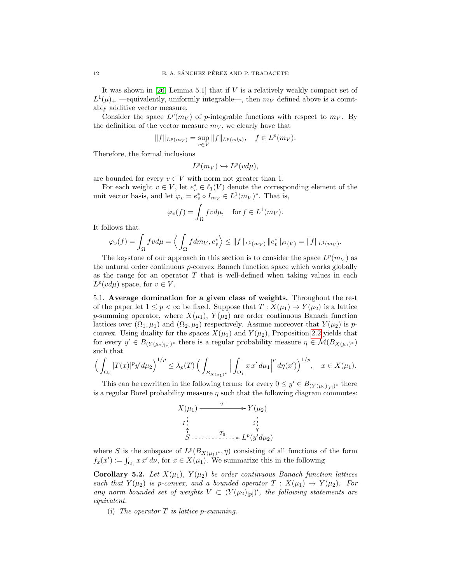It was shown in [\[26,](#page-19-19) Lemma 5.1] that if V is a relatively weakly compact set of  $L^1(\mu)_+$  —equivalently, uniformly integrable—, then  $m_V$  defined above is a countably additive vector measure.

Consider the space  $L^p(m_V)$  of p-integrable functions with respect to  $m_V$ . By the definition of the vector measure  $m_V$ , we clearly have that

$$
||f||_{L^p(m_V)} = \sup_{v \in V} ||f||_{L^p(v d\mu)}, \quad f \in L^p(m_V).
$$

Therefore, the formal inclusions

$$
L^p(m_V) \hookrightarrow L^p(v d\mu),
$$

are bounded for every  $v \in V$  with norm not greater than 1.

For each weight  $v \in V$ , let  $e_v^* \in \ell_1(V)$  denote the corresponding element of the unit vector basis, and let  $\varphi_v = e_v^* \circ I_{m_V} \in L^1(m_V)^*$ . That is,

$$
\varphi_v(f) = \int_{\Omega} fv d\mu, \quad \text{for } f \in L^1(m_V).
$$

It follows that

$$
\varphi_v(f) = \int_{\Omega} fv d\mu = \left\langle \int_{\Omega} fdm_V, e_v^* \right\rangle \le ||f||_{L^1(m_V)} ||e_v^*||_{\ell^1(V)} = ||f||_{L^1(m_V)}.
$$

The keystone of our approach in this section is to consider the space  $L^p(m_V)$  as the natural order continuous  $p$ -convex Banach function space which works globally as the range for an operator  $T$  that is well-defined when taking values in each  $L^p(vd\mu)$  space, for  $v \in V$ .

5.1. Average domination for a given class of weights. Throughout the rest of the paper let  $1 \leq p < \infty$  be fixed. Suppose that  $T : X(\mu_1) \to Y(\mu_2)$  is a lattice p-summing operator, where  $X(\mu_1)$ ,  $Y(\mu_2)$  are order continuous Banach function lattices over  $(\Omega_1, \mu_1)$  and  $(\Omega_2, \mu_2)$  respectively. Assume moreover that  $Y(\mu_2)$  is pconvex. Using duality for the spaces  $X(\mu_1)$  and  $Y(\mu_2)$ , Proposition [2.2](#page-6-0) yields that for every  $y' \in B_{(Y(\mu_2)_{[p]})^*}$  there is a regular probability measure  $\eta \in \mathcal{M}(B_{X(\mu_1)^*})$ such that

$$
\left(\int_{\Omega_2} |T(x)|^p y' d\mu_2\right)^{1/p} \leq \lambda_p(T) \left(\int_{B_{X(\mu_1)^*}} \Big|\int_{\Omega_1} x x' d\mu_1\Big|^p d\eta(x')\right)^{1/p}, \quad x \in X(\mu_1).
$$

This can be rewritten in the following terms: for every  $0 \leq y' \in B_{(Y(\mu_2)_{[p]})^*}$  there is a regular Borel probability measure  $\eta$  such that the following diagram commutes:

$$
X(\mu_1) \xrightarrow{T} Y(\mu_2)
$$
\n
$$
I \downarrow \qquad \qquad i \downarrow \qquad \qquad i
$$
\n
$$
S \xrightarrow{T_0} L^p(y'd\mu_2)
$$

where S is the subspace of  $L^p(B_{X(\mu_1)^*}, \eta)$  consisting of all functions of the form  $f_x(x') := \int_{\Omega_1} x x' dx$ , for  $x \in X(\mu_1)$ . We summarize this in the following

Corollary 5.2. Let  $X(\mu_1)$ ,  $Y(\mu_2)$  be order continuous Banach function lattices such that  $Y(\mu_2)$  is p-convex, and a bounded operator  $T : X(\mu_1) \to Y(\mu_2)$ . For any norm bounded set of weights  $V \subset (Y(\mu_2)_{[p]})'$ , the following statements are equivalent.

(i) The operator  $T$  is lattice p-summing.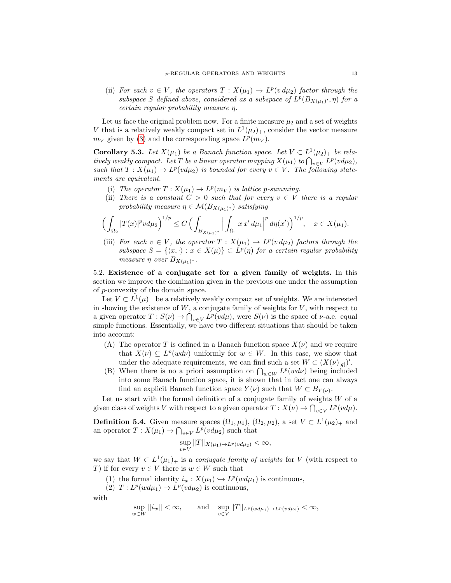(ii) For each  $v \in V$ , the operators  $T : X(\mu_1) \to L^p(v d\mu_2)$  factor through the subspace S defined above, considered as a subspace of  $L^p(B_{X(\mu_1)'} , \eta)$  for a certain regular probability measure η.

Let us face the original problem now. For a finite measure  $\mu_2$  and a set of weights V that is a relatively weakly compact set in  $L^1(\mu_2)_+$ , consider the vector measure  $m_V$  given by [\(3\)](#page-11-1) and the corresponding space  $L^p(m_V)$ .

**Corollary 5.3.** Let  $X(\mu_1)$  be a Banach function space. Let  $V \subset L^1(\mu_2)_+$  be relatively weakly compact. Let T be a linear operator mapping  $X(\mu_1)$  to  $\bigcap_{v\in V} L^p(v d\mu_2)$ , such that  $T: X(\mu_1) \to L^p(v d\mu_2)$  is bounded for every  $v \in V$ . The following statements are equivalent.

- (i) The operator  $T: X(\mu_1) \to L^p(m_V)$  is lattice p-summing.
- (ii) There is a constant  $C > 0$  such that for every  $v \in V$  there is a regular probability measure  $\eta \in \mathcal{M}(B_{X(\mu_1)^*})$  satisfying

$$
\Big(\int_{\Omega_2} |T(x)|^p v d\mu_2\Big)^{1/p} \le C \Big(\int_{B_{X(\mu_1)^*}} \Big|\int_{\Omega_1} x x' d\mu_1\Big|^p d\eta(x')\Big)^{1/p}, \quad x \in X(\mu_1).
$$

(iii) For each  $v \in V$ , the operator  $T : X(\mu_1) \to L^p(v d\mu_2)$  factors through the subspace  $S = \{ \langle x, \cdot \rangle : x \in X(\mu) \} \subset L^p(\eta)$  for a certain regular probability measure  $\eta$  over  $B_{X(\mu_1)^*}.$ 

<span id="page-13-0"></span>5.2. Existence of a conjugate set for a given family of weights. In this section we improve the domination given in the previous one under the assumption of p-convexity of the domain space.

Let  $V \subset L^1(\mu)_+$  be a relatively weakly compact set of weights. We are interested in showing the existence of  $W$ , a conjugate family of weights for  $V$ , with respect to a given operator  $T: S(\nu) \to \bigcap_{v \in V} L^p(v d\mu)$ , were  $S(\nu)$  is the space of  $\nu$ -a.e. equal simple functions. Essentially, we have two different situations that should be taken into account:

- (A) The operator T is defined in a Banach function space  $X(\nu)$  and we require that  $X(\nu) \subseteq L^p(w d \nu)$  uniformly for  $w \in W$ . In this case, we show that under the adequate requirements, we can find such a set  $W \subset (X(\nu)_{[q]})'$ .
- (B) When there is no a priori assumption on  $\bigcap_{w\in W} L^p(wd\nu)$  being included into some Banach function space, it is shown that in fact one can always find an explicit Banach function space  $Y(\nu)$  such that  $W \subset B_{Y(\nu)}$ .

Let us start with the formal definition of a conjugate family of weights  $W$  of a given class of weights V with respect to a given operator  $T: X(\nu) \to \bigcap_{v \in V} L^p(v d\mu)$ .

**Definition 5.4.** Given measure spaces  $(\Omega_1, \mu_1)$ ,  $(\Omega_2, \mu_2)$ , a set  $V \subset L^1(\mu_2)_+$  and an operator  $T: X(\mu_1) \to \bigcap_{v \in V} L^p(v d\mu_2)$  such that

$$
\sup_{v\in V} ||T||_{X(\mu_1)\to L^p(v d\mu_2)} < \infty,
$$

we say that  $W \subset L^1(\mu_1)_+$  is a *conjugate family of weights* for V (with respect to T) if for every  $v \in V$  there is  $w \in W$  such that

- (1) the formal identity  $i_w : X(\mu_1) \hookrightarrow L^p(w d\mu_1)$  is continuous,
- (2)  $T: L^p(w d\mu_1) \to L^p(v d\mu_2)$  is continuous,

with

$$
\sup_{w \in W} ||i_w|| < \infty, \quad \text{and} \quad \sup_{v \in V} ||T||_{L^p(w d\mu_1) \to L^p(v d\mu_2)} < \infty,
$$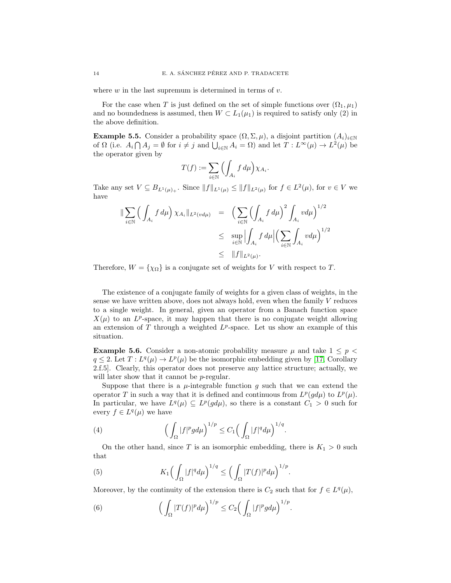where  $w$  in the last supremum is determined in terms of  $v$ .

For the case when T is just defined on the set of simple functions over  $(\Omega_1, \mu_1)$ and no boundedness is assumed, then  $W \subset L_1(\mu_1)$  is required to satisfy only (2) in the above definition.

**Example 5.5.** Consider a probability space  $(\Omega, \Sigma, \mu)$ , a disjoint partition  $(A_i)_{i \in \mathbb{N}}$ of  $\Omega$  (i.e.  $A_i \cap A_j = \emptyset$  for  $i \neq j$  and  $\bigcup_{i \in \mathbb{N}} A_i = \Omega$ ) and let  $T: L^{\infty}(\mu) \to L^2(\mu)$  be the operator given by

$$
T(f) := \sum_{i \in \mathbb{N}} \Big( \int_{A_i} f \, d\mu \Big) \chi_{A_i}.
$$

Take any set  $V \subseteq B_{L^1(\mu)_+}$ . Since  $||f||_{L^1(\mu)} \leq ||f||_{L^2(\mu)}$  for  $f \in L^2(\mu)$ , for  $v \in V$  we have

$$
\|\sum_{i\in\mathbb{N}}\left(\int_{A_i}f d\mu\right)\chi_{A_i}\|_{L^2(vd\mu)} = \left(\sum_{i\in\mathbb{N}}\left(\int_{A_i}f d\mu\right)^2\int_{A_i}v d\mu\right)^{1/2}
$$
  

$$
\leq \sup_{i\in\mathbb{N}}\left|\int_{A_i}f d\mu\right|\left(\sum_{i\in\mathbb{N}}\int_{A_i}v d\mu\right)^{1/2}
$$
  

$$
\leq \|f\|_{L^2(\mu)}.
$$

Therefore,  $W = {\chi_{\Omega}}$  is a conjugate set of weights for V with respect to T.

The existence of a conjugate family of weights for a given class of weights, in the sense we have written above, does not always hold, even when the family V reduces to a single weight. In general, given an operator from a Banach function space  $X(\mu)$  to an L<sup>p</sup>-space, it may happen that there is no conjugate weight allowing an extension of  $T$  through a weighted  $L^p$ -space. Let us show an example of this situation.

**Example 5.6.** Consider a non-atomic probability measure  $\mu$  and take  $1 \leq p <$  $q \leq 2$ . Let  $T: L^q(\mu) \to L^p(\mu)$  be the isomorphic embedding given by [\[17,](#page-19-16) Corollary 2.f.5]. Clearly, this operator does not preserve any lattice structure; actually, we will later show that it cannot be *p*-regular.

Suppose that there is a  $\mu$ -integrable function g such that we can extend the operator T in such a way that it is defined and continuous from  $L^p(gd\mu)$  to  $L^p(\mu)$ . In particular, we have  $L^q(\mu) \subseteq L^p(gd\mu)$ , so there is a constant  $C_1 > 0$  such for every  $f \in L^q(\mu)$  we have

<span id="page-14-0"></span>(4) 
$$
\left(\int_{\Omega} |f|^p g d\mu\right)^{1/p} \leq C_1 \left(\int_{\Omega} |f|^q d\mu\right)^{1/q}.
$$

On the other hand, since T is an isomorphic embedding, there is  $K_1 > 0$  such that

<span id="page-14-1"></span>(5) 
$$
K_1\Big(\int_{\Omega}|f|^q d\mu\Big)^{1/q} \leq \Big(\int_{\Omega}|T(f)|^p d\mu\Big)^{1/p}.
$$

Moreover, by the continuity of the extension there is  $C_2$  such that for  $f \in L^q(\mu)$ ,

.

<span id="page-14-2"></span>(6) 
$$
\left(\int_{\Omega} |T(f)|^p d\mu\right)^{1/p} \leq C_2 \left(\int_{\Omega} |f|^p g d\mu\right)^{1/p}
$$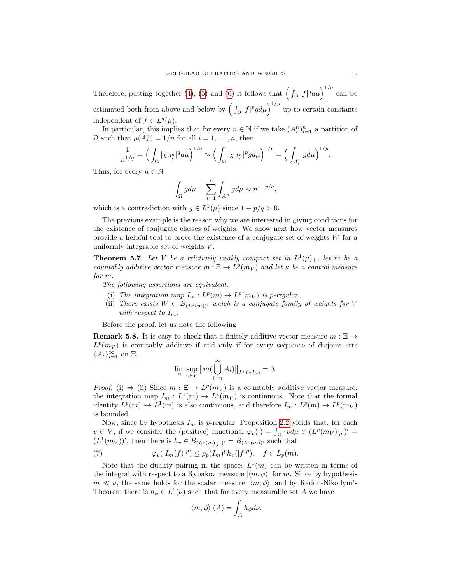Therefore, putting together [\(4\)](#page-14-0), [\(5\)](#page-14-1) and [\(6\)](#page-14-2) it follows that  $\left(\int_{\Omega} |f|^q d\mu\right)^{1/q}$  can be estimated both from above and below by  $\left(\int_{\Omega}|f|^{p}gd\mu\right)^{1/p}$  up to certain constants independent of  $f \in L^q(\mu)$ .

In particular, this implies that for every  $n \in \mathbb{N}$  if we take  $(A_i^n)_{i=1}^n$  a partition of  $\Omega$  such that  $\mu(A_i^n) = 1/n$  for all  $i = 1, ..., n$ , then

$$
\frac{1}{n^{1/q}}=\Big(\int_{\Omega}|\chi_{A_i^n}|^q d\mu\Big)^{1/q}\approx \Big(\int_{\Omega}|\chi_{A_i^n}|^p g d\mu\Big)^{1/p}=\Big(\int_{A_i^n}gd\mu\Big)^{1/p}.
$$

Thus, for every  $n \in \mathbb{N}$ 

$$
\int_{\Omega} g d\mu = \sum_{i=1}^{n} \int_{A_i^n} g d\mu \approx n^{1-p/q},
$$

which is a contradiction with  $g \in L^1(\mu)$  since  $1 - p/q > 0$ .

The previous example is the reason why we are interested in giving conditions for the existence of conjugate classes of weights. We show next how vector measures provide a helpful tool to prove the existence of a conjugate set of weights W for a uniformly integrable set of weights  $V$ .

<span id="page-15-1"></span>**Theorem 5.7.** Let V be a relatively weakly compact set in  $L^1(\mu)_+$ , let m be a countably additive vector measure  $m : \Xi \to L^p(m_V)$  and let  $\nu$  be a control measure for m.

The following assertions are equivalent.

- (i) The integration map  $I_m: L^p(m) \to L^p(m_V)$  is p-regular.
- (ii) There exists  $W \subset B_{(L^1(m))'}$  which is a conjugate family of weights for V with respect to  $I_m$ .

Before the proof, let us note the following

**Remark 5.8.** It is easy to check that a finitely additive vector measure  $m : \Xi \rightarrow$  $L^p(m_V)$  is countably additive if and only if for every sequence of disjoint sets  ${A_i}_{i=1}^{\infty}$  on  $\Xi$ ,

$$
\lim_n \sup_{v \in V} ||m(\bigcup_{i=n}^{\infty} A_i)||_{L^p(v d\mu)} = 0.
$$

*Proof.* (i)  $\Rightarrow$  (ii) Since  $m : \Xi \rightarrow L^p(m_V)$  is a countably additive vector measure, the integration map  $I_m: L^1(m) \to L^p(m_V)$  is continuous. Note that the formal identity  $L^p(m) \hookrightarrow L^1(m)$  is also continuous, and therefore  $I_m: L^p(m) \to L^p(m_V)$ is bounded.

Now, since by hypothesis  $I_m$  is p-regular, Proposition [2.2](#page-6-0) yields that, for each  $v \in V$ , if we consider the (positive) functional  $\varphi_v(\cdot) = \int_{\Omega} \cdot v d\mu \in (L^p(m_V)_{[p]})'$  $(L^1(m_V))'$ , then there is  $h_v \in B_{(L^p(m)|v)} = B_{(L^1(m))'}$  such that

<span id="page-15-0"></span>(7) 
$$
\varphi_v(|I_m(f)|^p) \leq \rho_p(I_m)^p h_v(|f|^p), \quad f \in L_p(m).
$$

Note that the duality pairing in the spaces  $L^1(m)$  can be written in terms of the integral with respect to a Rybakov measure  $|\langle m, \phi \rangle|$  for m. Since by hypothesis  $m \ll \nu$ , the same holds for the scalar measure  $|\langle m, \phi \rangle|$  and by Radon-Nikodym's Theorem there is  $h_{\phi} \in L^{1}(\nu)$  such that for every measurable set A we have

$$
|\langle m, \phi \rangle| (A) = \int_A h_{\phi} d\nu.
$$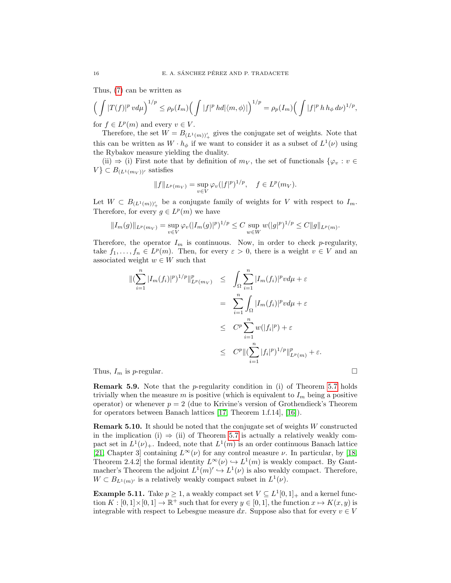Thus, [\(7\)](#page-15-0) can be written as

$$
\left(\int |T(f)|^p v d\mu\right)^{1/p} \le \rho_p(I_m) \left(\int |f|^p h d|\langle m,\phi\rangle|\right)^{1/p} = \rho_p(I_m) \left(\int |f|^p h h_\phi d\nu\right)^{1/p},
$$

for  $f \in L^p(m)$  and every  $v \in V$ .

Therefore, the set  $W = B_{(L^1(m))_+'}$  gives the conjugate set of weights. Note that this can be written as  $W \cdot h_{\phi}$  if we want to consider it as a subset of  $L^{1}(\nu)$  using the Rybakov measure yielding the duality.

(ii)  $\Rightarrow$  (i) First note that by definition of  $m_V$ , the set of functionals  $\{\varphi_v : v \in$  $V$ }  $\subset B_{(L^1(m_V))'}$  satisfies

$$
||f||_{L^p(m_V)} = \sup_{v \in V} \varphi_v(|f|^p)^{1/p}, \quad f \in L^p(m_V).
$$

Let  $W \subset B_{(L^1(m))_+'}$  be a conjugate family of weights for V with respect to  $I_m$ . Therefore, for every  $g \in L^p(m)$  we have

$$
||I_m(g)||_{L^p(m_V)} = \sup_{v \in V} \varphi_v(|I_m(g)|^p)^{1/p} \leq C \sup_{w \in W} w(|g|^p)^{1/p} \leq C ||g||_{L^p(m)}.
$$

Therefore, the operator  $I_m$  is continuous. Now, in order to check p-regularity, take  $f_1, \ldots, f_n \in L^p(m)$ . Then, for every  $\varepsilon > 0$ , there is a weight  $v \in V$  and an associated weight  $w \in W$  such that

$$
\begin{aligned}\n\| (\sum_{i=1}^{n} |I_m(f_i)|^p)^{1/p} \|_{L^p(m_V)}^p &\leq \int_{\Omega} \sum_{i=1}^{n} |I_m(f_i)|^p v d\mu + \varepsilon \\
&= \sum_{i=1}^{n} \int_{\Omega} |I_m(f_i)|^p v d\mu + \varepsilon \\
&\leq C^p \sum_{i=1}^{n} w(|f_i|^p) + \varepsilon \\
&\leq C^p \| (\sum_{i=1}^{n} |f_i|^p)^{1/p} \|_{L^p(m)}^p + \varepsilon.\n\end{aligned}
$$
\nThus,  $I_m$  is *p*-regular.  $\square$ 

Remark 5.9. Note that the p-regularity condition in (i) of Theorem [5.7](#page-15-1) holds trivially when the measure m is positive (which is equivalent to  $I_m$  being a positive operator) or whenever  $p = 2$  (due to Krivine's version of Grothendieck's Theorem for operators between Banach lattices [\[17,](#page-19-16) Theorem 1.f.14], [\[16\]](#page-19-24)).

Remark 5.10. It should be noted that the conjugate set of weights W constructed in the implication (i)  $\Rightarrow$  (ii) of Theorem [5.7](#page-15-1) is actually a relatively weakly compact set in  $L^1(\nu)_+$ . Indeed, note that  $L^1(m)$  is an order continuous Banach lattice [\[21,](#page-19-17) Chapter 3] containing  $L^{\infty}(\nu)$  for any control measure  $\nu$ . In particular, by [\[18,](#page-19-25) Theorem 2.4.2 the formal identity  $L^{\infty}(\nu) \hookrightarrow L^{1}(m)$  is weakly compact. By Gantmacher's Theorem the adjoint  $L^1(m)' \hookrightarrow L^1(\nu)$  is also weakly compact. Therefore,  $W \subset B_{L^1(m)}$  is a relatively weakly compact subset in  $L^1(\nu)$ .

**Example 5.11.** Take  $p \ge 1$ , a weakly compact set  $V \subseteq L^1[0,1]_+$  and a kernel function  $K : [0,1] \times [0,1] \to \mathbb{R}^+$  such that for every  $y \in [0,1]$ , the function  $x \mapsto K(x, y)$  is integrable with respect to Lebesgue measure dx. Suppose also that for every  $v \in V$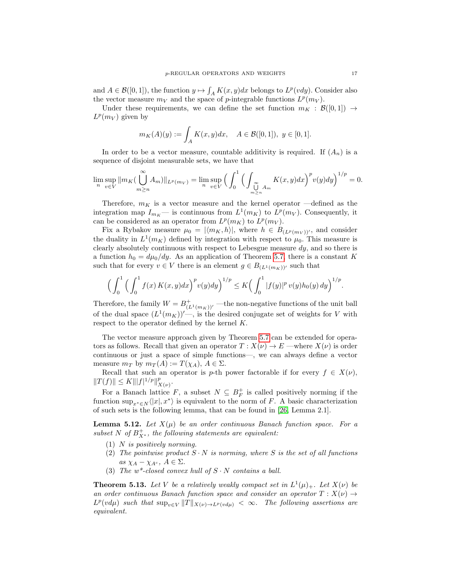and  $A \in \mathcal{B}([0,1])$ , the function  $y \mapsto \int_A K(x,y)dx$  belongs to  $L^p(vdy)$ . Consider also the vector measure  $m_V$  and the space of p-integrable functions  $L^p(m_V)$ .

Under these requirements, we can define the set function  $m_K : \mathcal{B}([0,1]) \to$  $L^p(m_V)$  given by

$$
m_K(A)(y) := \int_A K(x, y) dx, \quad A \in \mathcal{B}([0, 1]), \ y \in [0, 1].
$$

In order to be a vector measure, countable additivity is required. If  $(A_n)$  is a sequence of disjoint measurable sets, we have that

$$
\lim_{n} \sup_{v \in V} ||m_K(\bigcup_{m \ge n}^{\infty} A_m)||_{L^p(m_V)} = \lim_{n} \sup_{v \in V} \Big( \int_0^1 \Big( \int_{\bigcup_{m \ge n}^{\infty} A_m} K(x, y) dx \Big)^p v(y) dy \Big)^{1/p} = 0.
$$

Therefore,  $m_K$  is a vector measure and the kernel operator —defined as the integration map  $I_{m_K}$ — is continuous from  $L^1(m_K)$  to  $L^p(m_V)$ . Consequently, it can be considered as an operator from  $L^p(m_K)$  to  $L^p(m_V)$ .

Fix a Rybakov measure  $\mu_0 = |\langle m_K, h \rangle|$ , where  $h \in B_{(L^p(m_V))^{\prime}}$ , and consider the duality in  $L^1(m_K)$  defined by integration with respect to  $\mu_0$ . This measure is clearly absolutely continuous with respect to Lebesgue measure  $dy$ , and so there is a function  $h_0 = d\mu_0/dy$ . As an application of Theorem [5.7,](#page-15-1) there is a constant K such that for every  $v \in V$  there is an element  $g \in B_{(L^1(m_K))^{\prime}}$  such that

$$
\Big(\int_0^1 \Big(\int_0^1 f(x) K(x,y) dx\Big)^p v(y) dy\Big)^{1/p} \leq K \Big(\int_0^1 |f(y)|^p v(y) h_0(y) dy\Big)^{1/p}.
$$

Therefore, the family  $W = B^+_{(L^1(m_K))^{\prime}}$  —the non-negative functions of the unit ball of the dual space  $(L^1(m_K))'$ , is the desired conjugate set of weights for V with respect to the operator defined by the kernel K.

The vector measure approach given by Theorem [5.7](#page-15-1) can be extended for operators as follows. Recall that given an operator  $T : X(\nu) \to E$  —where  $X(\nu)$  is order continuous or just a space of simple functions—, we can always define a vector measure  $m_T$  by  $m_T(A) := T(\chi_A), A \in \Sigma$ .

Recall that such an operator is p-th power factorable if for every  $f \in X(\nu)$ ,  $||T(f)|| \leq K |||f|^{1/p}||_X^p$  $^p_{X(\nu)}$ .

For a Banach lattice F, a subset  $N \subseteq B_F^+$  is called positively norming if the function  $\sup_{x^* \in N} \langle |x|, x^* \rangle$  is equivalent to the norm of F. A basic characterization of such sets is the following lemma, that can be found in [\[26,](#page-19-19) Lemma 2.1].

**Lemma 5.12.** Let  $X(\mu)$  be an order continuous Banach function space. For a subset N of  $B_{X^*}^+$ , the following statements are equivalent:

- $(1)$  N is positively norming.
- (2) The pointwise product  $S \cdot N$  is norming, where S is the set of all functions as  $\chi_A - \chi_{A^c}, A \in \Sigma$ .
- (3) The  $w^*$ -closed convex hull of  $S \cdot N$  contains a ball.

**Theorem 5.13.** Let V be a relatively weakly compact set in  $L^1(\mu)_+$ . Let  $X(\nu)$  be an order continuous Banach function space and consider an operator  $T : X(\nu) \rightarrow$  $L^p(v d\mu)$  such that  $\sup_{v \in V} ||T||_{X(v) \to L^p(v d\mu)} < \infty$ . The following assertions are equivalent.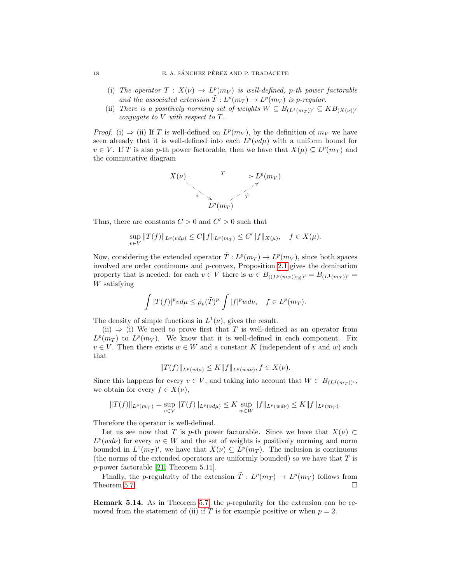- (i) The operator  $T: X(\nu) \to L^p(m_V)$  is well-defined, p-th power factorable and the associated extension  $\tilde{T}: L^p(m_T) \to L^p(m_V)$  is p-regular.
- (ii) There is a positively norming set of weights  $W \subseteq B_{(L^1(m_T))'} \subseteq KB_{(X(\nu))'}$ conjugate to V with respect to T.

*Proof.* (i)  $\Rightarrow$  (ii) If T is well-defined on  $L^p(m_V)$ , by the definition of  $m_V$  we have seen already that it is well-defined into each  $L^p(v d\mu)$  with a uniform bound for  $v \in V$ . If T is also p-th power factorable, then we have that  $X(\mu) \subseteq L^p(m_T)$  and the commutative diagram



Thus, there are constants  $C > 0$  and  $C' > 0$  such that

$$
\sup_{v \in V} ||T(f)||_{L^p(v d\mu)} \le C ||f||_{L^p(m_T)} \le C'||f||_{X(\mu)}, \quad f \in X(\mu).
$$

Now, considering the extended operator  $\tilde{T}: L^p(m_T) \to L^p(m_V)$ , since both spaces involved are order continuous and p-convex, Proposition [2.1](#page-5-0) gives the domination property that is needed: for each  $v \in V$  there is  $w \in B_{((L^p(m_T))_{[q]})'} = B_{(L^1(m_T))'} =$ W satisfying

$$
\int |T(f)|^p v d\mu \le \rho_p(\tilde{T})^p \int |f|^p w d\nu, \quad f \in L^p(m_T).
$$

The density of simple functions in  $L^1(\nu)$ , gives the result.

(ii)  $\Rightarrow$  (i) We need to prove first that T is well-defined as an operator from  $L^p(m_T)$  to  $L^p(m_V)$ . We know that it is well-defined in each component. Fix  $v \in V$ . Then there exists  $w \in W$  and a constant K (independent of v and w) such that

$$
||T(f)||_{L^p(v d\mu)} \le K||f||_{L^p(w d\nu)}, f \in X(\nu).
$$

Since this happens for every  $v \in V$ , and taking into account that  $W \subset B_{(L^1(m_T))'}$ , we obtain for every  $f \in X(\nu)$ ,

$$
||T(f)||_{L^p(m_V)} = \sup_{v \in V} ||T(f)||_{L^p(v d\mu)} \leq K \sup_{w \in W} ||f||_{L^p(w d\nu)} \leq K ||f||_{L^p(m_T)}.
$$

Therefore the operator is well-defined.

Let us see now that T is p-th power factorable. Since we have that  $X(\nu) \subset$  $L^p(w d\nu)$  for every  $w \in W$  and the set of weights is positively norming and norm bounded in  $L^1(m_T)'$ , we have that  $X(\nu) \subseteq L^p(m_T)$ . The inclusion is continuous (the norms of the extended operators are uniformly bounded) so we have that  $T$  is p-power factorable [\[21,](#page-19-17) Theorem 5.11].

Finally, the p-regularity of the extension  $\tilde{T}: L^p(m_T) \to L^p(m_V)$  follows from Theorem [5.7.](#page-15-1)  $\Box$ 

**Remark 5.14.** As in Theorem [5.7,](#page-15-1) the  $p$ -regularity for the extension can be removed from the statement of (ii) if T is for example positive or when  $p = 2$ .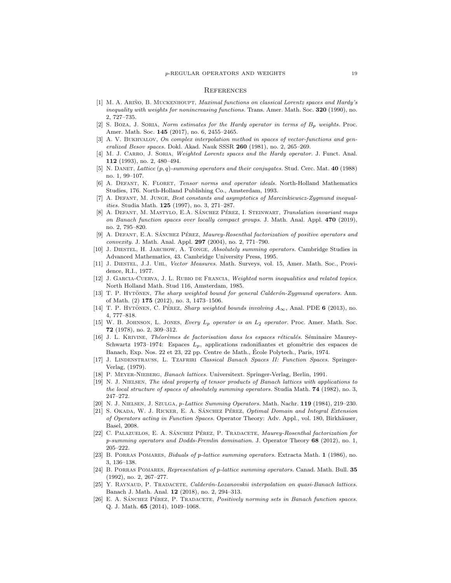#### **REFERENCES**

- <span id="page-19-0"></span>[1] M. A. ARIÑO, B. MUCKENHOUPT, *Maximal functions on classical Lorentz spaces and Hardy's* inequality with weights for nonincreasing functions. Trans. Amer. Math. Soc. 320 (1990), no. 2, 727–735.
- <span id="page-19-1"></span>[2] S. BOZA, J. SORIA, Norm estimates for the Hardy operator in terms of  $B_p$  weights. Proc. Amer. Math. Soc. 145 (2017), no. 6, 2455–2465.
- <span id="page-19-10"></span>[3] A. V. BUKHVALOV, On complex interpolation method in spaces of vector-functions and generalized Besov spaces. Dokl. Akad. Nauk SSSR 260 (1981), no. 2, 265-269.
- <span id="page-19-2"></span>[4] M. J. CARRO, J. SORIA, Weighted Lorentz spaces and the Hardy operator. J. Funct. Anal. 112 (1993), no. 2, 480–494.
- <span id="page-19-6"></span>[5] N. DANET, Lattice  $(p, q)$ -summing operators and their conjugates. Stud. Cerc. Mat. 40 (1988) no. 1, 99–107.
- <span id="page-19-23"></span>[6] A. Defant, K. Floret, Tensor norms and operator ideals. North-Holland Mathematics Studies, 176. North-Holland Publishing Co., Amsterdam, 1993.
- <span id="page-19-12"></span>[7] A. Defant, M. Junge, Best constants and asymptotics of Marcinkiewicz-Zygmund inequalities. Studia Math. 125 (1997), no. 3, 271–287.
- <span id="page-19-20"></span>[8] A. DEFANT, M. MASTYLO, E.A. SÁNCHEZ PÉREZ, I. STEINWART, *Translation invariant maps* on Banach function spaces over locally compact groups. J. Math. Anal. Appl. 470 (2019), no. 2, 795–820.
- <span id="page-19-21"></span>[9] A. DEFANT, E.A. SÁNCHEZ PÉREZ, Maurey-Rosenthal factorization of positive operators and convexity. J. Math. Anal. Appl. 297 (2004), no. 2, 771–790.
- <span id="page-19-15"></span>[10] J. Diestel, H. Jarchow, A. Tonge, Absolutely summing operators. Cambridge Studies in Advanced Mathematics, 43. Cambridge University Press, 1995.
- <span id="page-19-18"></span>[11] J. Diestel, J.J. Uhl, Vector Measures. Math. Surveys, vol. 15, Amer. Math. Soc., Providence, R.I., 1977.
- <span id="page-19-5"></span>[12] J. GARCIA-CUERVA, J. L. RUBIO DE FRANCIA, Weighted norm inequalities and related topics. North Holland Math. Stud 116, Amsterdam, 1985.
- <span id="page-19-3"></span>[13] T. P. HYTONEN, The sharp weighted bound for general Calderon-Zygmund operators. Ann. of Math. (2) 175 (2012), no. 3, 1473–1506.
- <span id="page-19-4"></span>[14] T. P. HYTÖNEN, C. PÉREZ, Sharp weighted bounds involving  $A_{\infty}$ , Anal. PDE 6 (2013), no. 4, 777–818.
- <span id="page-19-14"></span>[15] W. B. JOHNSON, L. JONES, Every  $L_p$  operator is an  $L_2$  operator. Proc. Amer. Math. Soc. 72 (1978), no. 2, 309–312.
- <span id="page-19-24"></span>[16] J. L. KRIVINE, Théorèmes de factorisation dans les espaces réticulés. Séminaire Maurey-Schwartz 1973–1974: Espaces  $L_p$ , applications radonifiantes et géométrie des espaces de Banach, Exp. Nos. 22 et 23, 22 pp. Centre de Math., Ecole Polytech., Paris, 1974. ´
- <span id="page-19-16"></span>[17] J. Lindenstrauss, L. Tzafriri Classical Banach Spaces II: Function Spaces. Springer-Verlag, (1979).
- <span id="page-19-25"></span>[18] P. Meyer-Nieberg, Banach lattices. Universitext. Springer-Verlag, Berlin, 1991.
- <span id="page-19-11"></span>[19] N. J. Nielsen, The ideal property of tensor products of Banach lattices with applications to the local structure of spaces of absolutely summing operators. Studia Math. **74** (1982), no. 3, 247–272.
- <span id="page-19-7"></span>[20] N. J. NIELSEN, J. SZULGA, p-Lattice Summing Operators. Math. Nachr. 119 (1984), 219–230.
- <span id="page-19-17"></span>[21] S. OKADA, W. J. RICKER, E. A. SÁNCHEZ PÉREZ, Optimal Domain and Integral Extension of Operators acting in Function Spaces. Operator Theory: Adv. Appl., vol. 180, Birkhäuser, Basel, 2008.
- <span id="page-19-22"></span>[22] C. PALAZUELOS, E. A. SÁNCHEZ PÉREZ, P. TRADACETE, *Maurey-Rosenthal factorization for* p-summing operators and Dodds-Fremlin domination. J. Operator Theory 68 (2012), no. 1, 205–222.
- <span id="page-19-8"></span>[23] B. Porras Pomares, Biduals of p-lattice summing operators. Extracta Math. 1 (1986), no. 3, 136–138.
- <span id="page-19-9"></span>[24] B. PORRAS POMARES, Representation of p-lattice summing operators. Canad. Math. Bull. 35 (1992), no. 2, 267–277.
- <span id="page-19-13"></span>[25] Y. RAYNAUD, P. TRADACETE, *Calderón-Lozanovskii interpolation on quasi-Banach lattices*. Banach J. Math. Anal. 12 (2018), no. 2, 294–313.
- <span id="page-19-19"></span>[26] E. A. SÁNCHEZ PÉREZ, P. TRADACETE, *Positively norming sets in Banach function spaces*. Q. J. Math. 65 (2014), 1049–1068.